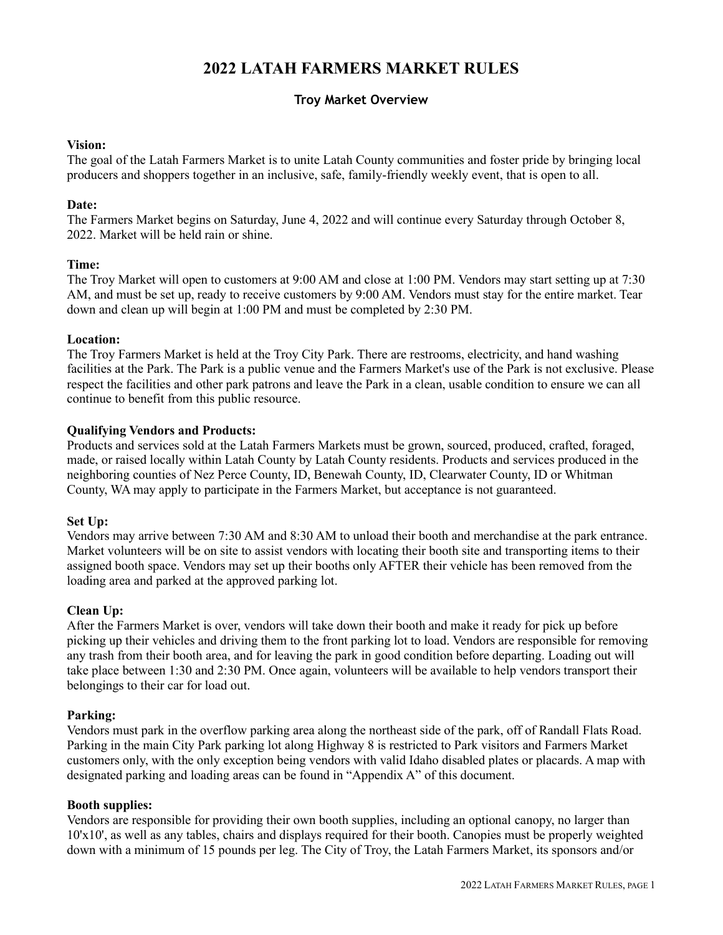# **2022 LATAH FARMERS MARKET RULES**

# **Troy Market Overview**

# **Vision:**

The goal of the Latah Farmers Market is to unite Latah County communities and foster pride by bringing local producers and shoppers together in an inclusive, safe, family-friendly weekly event, that is open to all.

## **Date:**

The Farmers Market begins on Saturday, June 4, 2022 and will continue every Saturday through October 8, 2022. Market will be held rain or shine.

### **Time:**

The Troy Market will open to customers at 9:00 AM and close at 1:00 PM. Vendors may start setting up at 7:30 AM, and must be set up, ready to receive customers by 9:00 AM. Vendors must stay for the entire market. Tear down and clean up will begin at 1:00 PM and must be completed by 2:30 PM.

### **Location:**

The Troy Farmers Market is held at the Troy City Park. There are restrooms, electricity, and hand washing facilities at the Park. The Park is a public venue and the Farmers Market's use of the Park is not exclusive. Please respect the facilities and other park patrons and leave the Park in a clean, usable condition to ensure we can all continue to benefit from this public resource.

### **Qualifying Vendors and Products:**

Products and services sold at the Latah Farmers Markets must be grown, sourced, produced, crafted, foraged, made, or raised locally within Latah County by Latah County residents. Products and services produced in the neighboring counties of Nez Perce County, ID, Benewah County, ID, Clearwater County, ID or Whitman County, WA may apply to participate in the Farmers Market, but acceptance is not guaranteed.

#### **Set Up:**

Vendors may arrive between 7:30 AM and 8:30 AM to unload their booth and merchandise at the park entrance. Market volunteers will be on site to assist vendors with locating their booth site and transporting items to their assigned booth space. Vendors may set up their booths only AFTER their vehicle has been removed from the loading area and parked at the approved parking lot.

# **Clean Up:**

After the Farmers Market is over, vendors will take down their booth and make it ready for pick up before picking up their vehicles and driving them to the front parking lot to load. Vendors are responsible for removing any trash from their booth area, and for leaving the park in good condition before departing. Loading out will take place between 1:30 and 2:30 PM. Once again, volunteers will be available to help vendors transport their belongings to their car for load out.

#### **Parking:**

Vendors must park in the overflow parking area along the northeast side of the park, off of Randall Flats Road. Parking in the main City Park parking lot along Highway 8 is restricted to Park visitors and Farmers Market customers only, with the only exception being vendors with valid Idaho disabled plates or placards. A map with designated parking and loading areas can be found in "Appendix A" of this document.

# **Booth supplies:**

Vendors are responsible for providing their own booth supplies, including an optional canopy, no larger than 10'x10', as well as any tables, chairs and displays required for their booth. Canopies must be properly weighted down with a minimum of 15 pounds per leg. The City of Troy, the Latah Farmers Market, its sponsors and/or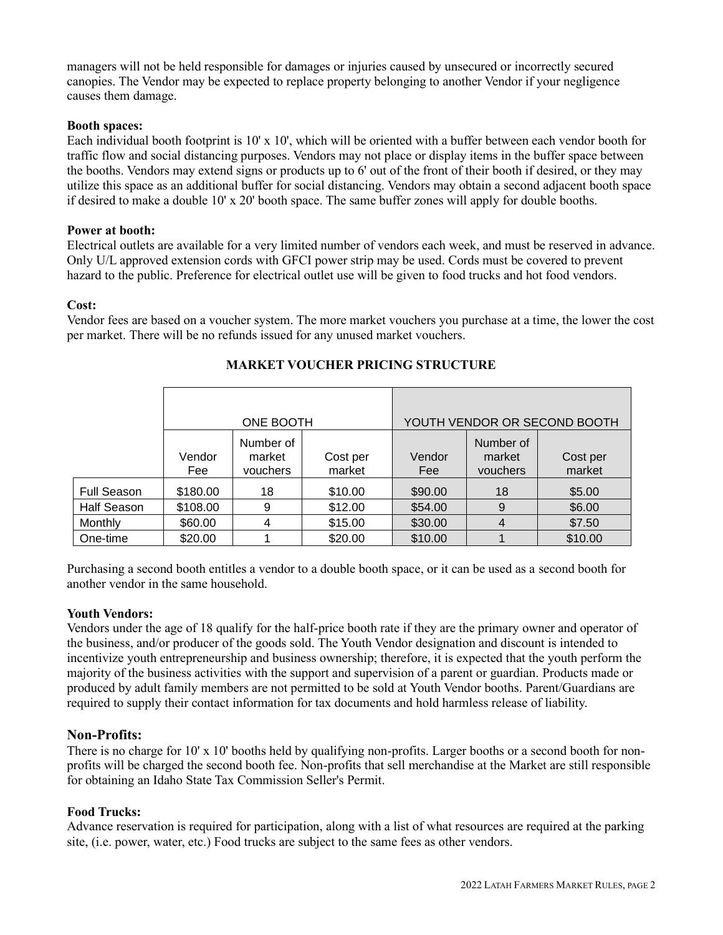managers will not be held responsible for damages or injuries caused by unsecured or incorrectly secured canopies. The Vendor may be expected to replace property belonging to another Vendor if your negligence causes them damage.

# **Booth spaces:**

Each individual booth footprint is 10' x 10', which will be oriented with a buffer between each vendor booth for traffic flow and social distancing purposes. Vendors may not place or display items in the buffer space between the booths. Vendors may extend signs or products up to 6' out of the front of their booth if desired, or they may utilize this space as an additional buffer for social distancing. Vendors may obtain a second adjacent booth space if desired to make a double 10' x 20' booth space. The same buffer zones will apply for double booths.

# **Power at booth:**

Electrical outlets are available for a very limited number of vendors each week, and must be reserved in advance. Only U/L approved extension cords with GFCI power strip may be used. Cords must be covered to prevent hazard to the public. Preference for electrical outlet use will be given to food trucks and hot food vendors.

# **Cost:**

Vendor fees are based on a voucher system. The more market vouchers you purchase at a time, the lower the cost per market. There will be no refunds issued for any unused market vouchers.

|                    | ONE BOOTH     |                                 |                    | YOUTH VENDOR OR SECOND BOOTH |                                 |                    |
|--------------------|---------------|---------------------------------|--------------------|------------------------------|---------------------------------|--------------------|
|                    | Vendor<br>Fee | Number of<br>market<br>vouchers | Cost per<br>market | Vendor<br>Fee                | Number of<br>market<br>vouchers | Cost per<br>market |
| <b>Full Season</b> | \$180.00      | 18                              | \$10.00            | \$90.00                      | 18                              | \$5.00             |
| <b>Half Season</b> | \$108.00      | 9                               | \$12.00            | \$54.00                      | 9                               | \$6.00             |
| Monthly            | \$60.00       | 4                               | \$15.00            | \$30.00                      | 4                               | \$7.50             |
| One-time           | \$20.00       |                                 | \$20.00            | \$10.00                      |                                 | \$10.00            |

# **MARKET VOUCHER PRICING STRUCTURE**

Purchasing a second booth entitles a vendor to a double booth space, or it can be used as a second booth for another vendor in the same household.

# **Youth Vendors:**

Vendors under the age of 18 qualify for the half-price booth rate if they are the primary owner and operator of the business, and/or producer of the goods sold. The Youth Vendor designation and discount is intended to incentivize youth entrepreneurship and business ownership; therefore, it is expected that the youth perform the majority of the business activities with the support and supervision of a parent or guardian. Products made or produced by adult family members are not permitted to be sold at Youth Vendor booths. Parent/Guardians are required to supply their contact information for tax documents and hold harmless release of liability.

# **Non-Profits:**

There is no charge for 10' x 10' booths held by qualifying non-profits. Larger booths or a second booth for nonprofits will be charged the second booth fee. Non-profits that sell merchandise at the Market are still responsible for obtaining an Idaho State Tax Commission Seller's Permit.

# **Food Trucks:**

Advance reservation is required for participation, along with a list of what resources are required at the parking site, (i.e. power, water, etc.) Food trucks are subject to the same fees as other vendors.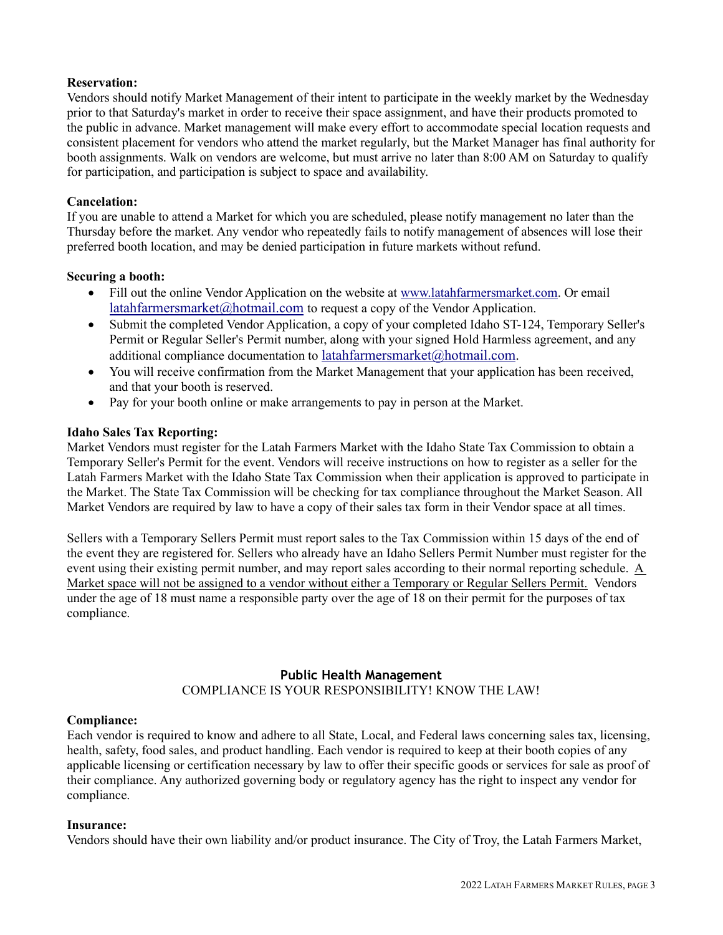## **Reservation:**

Vendors should notify Market Management of their intent to participate in the weekly market by the Wednesday prior to that Saturday's market in order to receive their space assignment, and have their products promoted to the public in advance. Market management will make every effort to accommodate special location requests and consistent placement for vendors who attend the market regularly, but the Market Manager has final authority for booth assignments. Walk on vendors are welcome, but must arrive no later than 8:00 AM on Saturday to qualify for participation, and participation is subject to space and availability.

#### **Cancelation:**

If you are unable to attend a Market for which you are scheduled, please notify management no later than the Thursday before the market. Any vendor who repeatedly fails to notify management of absences will lose their preferred booth location, and may be denied participation in future markets without refund.

### **Securing a booth:**

- Fill out the online Vendor Application on the website at [www.latahfarmersmarket.com.](http://www.latahfarmersmarket.com/) Or email [latahfarmersmarket@hotmail.com](mailto:latahfarmersmarket@hotmail.com) to request a copy of the Vendor Application.
- Submit the completed Vendor Application, a copy of your completed Idaho ST-124, Temporary Seller's Permit or Regular Seller's Permit number, along with your signed Hold Harmless agreement, and any additional compliance documentation to [latahfarmersmarket@hotmail.com.](mailto:latahfarmersmarket@hotmail.com)
- You will receive confirmation from the Market Management that your application has been received, and that your booth is reserved.
- Pay for your booth online or make arrangements to pay in person at the Market.

### **Idaho Sales Tax Reporting:**

Market Vendors must register for the Latah Farmers Market with the Idaho State Tax Commission to obtain a Temporary Seller's Permit for the event. Vendors will receive instructions on how to register as a seller for the Latah Farmers Market with the Idaho State Tax Commission when their application is approved to participate in the Market. The State Tax Commission will be checking for tax compliance throughout the Market Season. All Market Vendors are required by law to have a copy of their sales tax form in their Vendor space at all times.

Sellers with a Temporary Sellers Permit must report sales to the Tax Commission within 15 days of the end of the event they are registered for. Sellers who already have an Idaho Sellers Permit Number must register for the event using their existing permit number, and may report sales according to their normal reporting schedule. A Market space will not be assigned to a vendor without either a Temporary or Regular Sellers Permit. Vendors under the age of 18 must name a responsible party over the age of 18 on their permit for the purposes of tax compliance.

# **Public Health Management**

COMPLIANCE IS YOUR RESPONSIBILITY! KNOW THE LAW!

# **Compliance:**

Each vendor is required to know and adhere to all State, Local, and Federal laws concerning sales tax, licensing, health, safety, food sales, and product handling. Each vendor is required to keep at their booth copies of any applicable licensing or certification necessary by law to offer their specific goods or services for sale as proof of their compliance. Any authorized governing body or regulatory agency has the right to inspect any vendor for compliance.

#### **Insurance:**

Vendors should have their own liability and/or product insurance. The City of Troy, the Latah Farmers Market,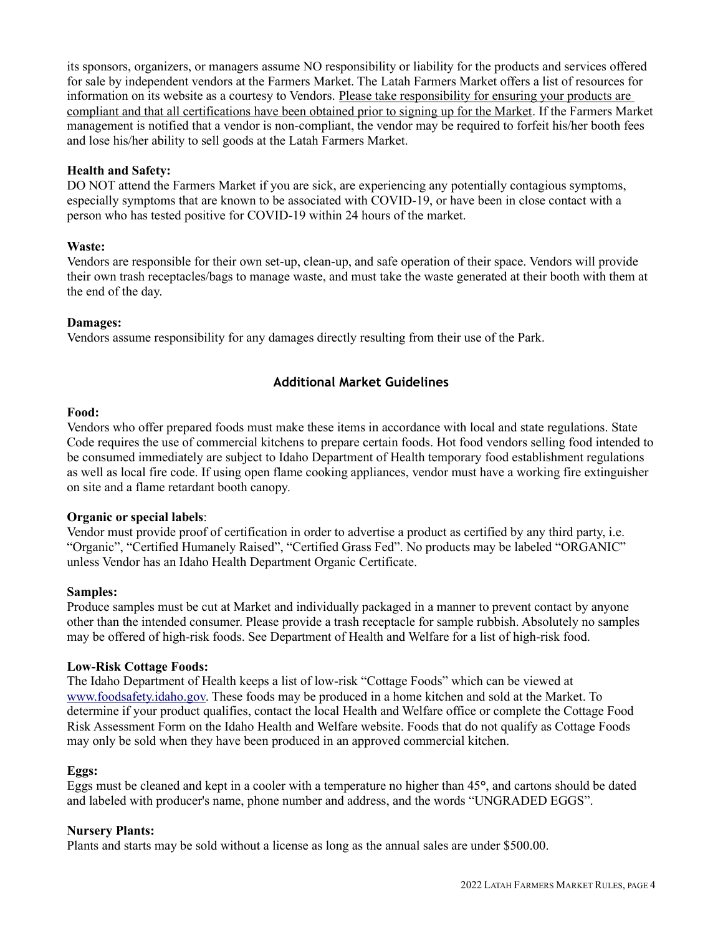its sponsors, organizers, or managers assume NO responsibility or liability for the products and services offered for sale by independent vendors at the Farmers Market. The Latah Farmers Market offers a list of resources for information on its website as a courtesy to Vendors. Please take responsibility for ensuring your products are compliant and that all certifications have been obtained prior to signing up for the Market. If the Farmers Market management is notified that a vendor is non-compliant, the vendor may be required to forfeit his/her booth fees and lose his/her ability to sell goods at the Latah Farmers Market.

# **Health and Safety:**

DO NOT attend the Farmers Market if you are sick, are experiencing any potentially contagious symptoms, especially symptoms that are known to be associated with COVID-19, or have been in close contact with a person who has tested positive for COVID-19 within 24 hours of the market.

### **Waste:**

Vendors are responsible for their own set-up, clean-up, and safe operation of their space. Vendors will provide their own trash receptacles/bags to manage waste, and must take the waste generated at their booth with them at the end of the day.

### **Damages:**

Vendors assume responsibility for any damages directly resulting from their use of the Park.

# **Additional Market Guidelines**

#### **Food:**

Vendors who offer prepared foods must make these items in accordance with local and state regulations. State Code requires the use of commercial kitchens to prepare certain foods. Hot food vendors selling food intended to be consumed immediately are subject to Idaho Department of Health temporary food establishment regulations as well as local fire code. If using open flame cooking appliances, vendor must have a working fire extinguisher on site and a flame retardant booth canopy.

#### **Organic or special labels**:

Vendor must provide proof of certification in order to advertise a product as certified by any third party, i.e. "Organic", "Certified Humanely Raised", "Certified Grass Fed". No products may be labeled "ORGANIC" unless Vendor has an Idaho Health Department Organic Certificate.

# **Samples:**

Produce samples must be cut at Market and individually packaged in a manner to prevent contact by anyone other than the intended consumer. Please provide a trash receptacle for sample rubbish. Absolutely no samples may be offered of high-risk foods. See Department of Health and Welfare for a list of high-risk food.

#### **Low-Risk Cottage Foods:**

The Idaho Department of Health keeps a list of low-risk "Cottage Foods" which can be viewed at [www.foodsafety.idaho.gov.](http://www.foodsafety.idaho.gov/) These foods may be produced in a home kitchen and sold at the Market. To determine if your product qualifies, contact the local Health and Welfare office or complete the Cottage Food Risk Assessment Form on the Idaho Health and Welfare website. Foods that do not qualify as Cottage Foods may only be sold when they have been produced in an approved commercial kitchen.

# **Eggs:**

Eggs must be cleaned and kept in a cooler with a temperature no higher than 45**°**, and cartons should be dated and labeled with producer's name, phone number and address, and the words "UNGRADED EGGS".

# **Nursery Plants:**

Plants and starts may be sold without a license as long as the annual sales are under \$500.00.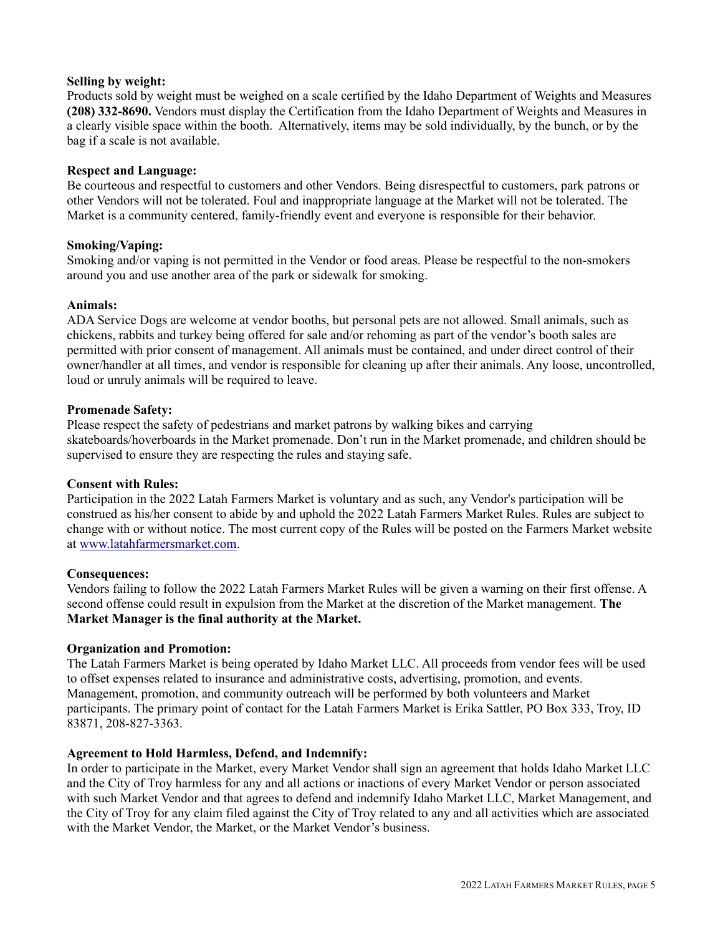## **Selling by weight:**

Products sold by weight must be weighed on a scale certified by the Idaho Department of Weights and Measures **(208) 332-8690.** Vendors must display the Certification from the Idaho Department of Weights and Measures in a clearly visible space within the booth. Alternatively, items may be sold individually, by the bunch, or by the bag if a scale is not available.

## **Respect and Language:**

Be courteous and respectful to customers and other Vendors. Being disrespectful to customers, park patrons or other Vendors will not be tolerated. Foul and inappropriate language at the Market will not be tolerated. The Market is a community centered, family-friendly event and everyone is responsible for their behavior.

### **Smoking/Vaping:**

Smoking and/or vaping is not permitted in the Vendor or food areas. Please be respectful to the non-smokers around you and use another area of the park or sidewalk for smoking.

### **Animals:**

ADA Service Dogs are welcome at vendor booths, but personal pets are not allowed. Small animals, such as chickens, rabbits and turkey being offered for sale and/or rehoming as part of the vendor's booth sales are permitted with prior consent of management. All animals must be contained, and under direct control of their owner/handler at all times, and vendor is responsible for cleaning up after their animals. Any loose, uncontrolled, loud or unruly animals will be required to leave.

### **Promenade Safety:**

Please respect the safety of pedestrians and market patrons by walking bikes and carrying skateboards/hoverboards in the Market promenade. Don't run in the Market promenade, and children should be supervised to ensure they are respecting the rules and staying safe.

# **Consent with Rules:**

Participation in the 2022 Latah Farmers Market is voluntary and as such, any Vendor's participation will be construed as his/her consent to abide by and uphold the 2022 Latah Farmers Market Rules. Rules are subject to change with or without notice. The most current copy of the Rules will be posted on the Farmers Market website at [www.latahfarmersmarket.com.](http://www.latahfarmersmarket.com/)

# **Consequences:**

Vendors failing to follow the 2022 Latah Farmers Market Rules will be given a warning on their first offense. A second offense could result in expulsion from the Market at the discretion of the Market management. **The Market Manager is the final authority at the Market.**

# **Organization and Promotion:**

The Latah Farmers Market is being operated by Idaho Market LLC. All proceeds from vendor fees will be used to offset expenses related to insurance and administrative costs, advertising, promotion, and events. Management, promotion, and community outreach will be performed by both volunteers and Market participants. The primary point of contact for the Latah Farmers Market is Erika Sattler, PO Box 333, Troy, ID 83871, 208-827-3363.

#### **Agreement to Hold Harmless, Defend, and Indemnify:**

In order to participate in the Market, every Market Vendor shall sign an agreement that holds Idaho Market LLC and the City of Troy harmless for any and all actions or inactions of every Market Vendor or person associated with such Market Vendor and that agrees to defend and indemnify Idaho Market LLC, Market Management, and the City of Troy for any claim filed against the City of Troy related to any and all activities which are associated with the Market Vendor, the Market, or the Market Vendor's business.